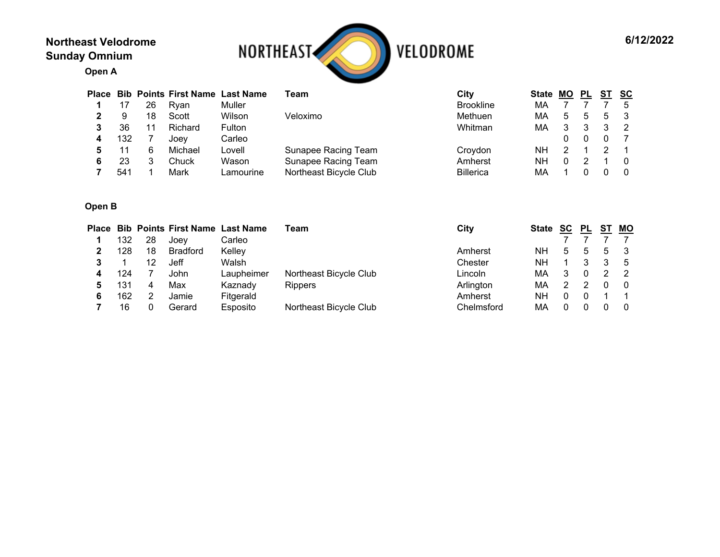## **Northeast Velodrome Sunday Omnium**



**Open A**

|                 |    | <b>Place Bib Points First Name</b> | <b>Last Name</b> | Team                   | City             | <b>State</b> | MО | PL |   | sc       |
|-----------------|----|------------------------------------|------------------|------------------------|------------------|--------------|----|----|---|----------|
|                 | 26 | Rvan                               | Muller           |                        | <b>Brookline</b> | МA           |    |    |   | 5        |
|                 | 18 | Scott                              | Wilson           | Veloximo               | Methuen          | МA           | 5  |    | 5 |          |
| 36              |    | Richard                            | Fulton           |                        | Whitman          | МA           |    |    |   |          |
| 132             |    | Joev                               | Carleo           |                        |                  |              |    |    |   |          |
|                 | 6  | Michael                            | Lovell           | Sunapee Racing Team    | Croydon          | NΗ           |    |    |   |          |
| 23              |    | Chuck                              | Wason            | Sunapee Racing Team    | Amherst          | NΗ           |    |    |   | $\Omega$ |
| 54 <sup>1</sup> |    | Mark                               | Lamourine        | Northeast Bicycle Club | <b>Billerica</b> | МA           |    |    |   | - 0      |

## **Open B**

| Place |                 |    | <b>Bib Points First Name Last Name</b> |            | Team                   | City       | State | <b>SC</b> | PL | S1 | <b>MO</b> |
|-------|-----------------|----|----------------------------------------|------------|------------------------|------------|-------|-----------|----|----|-----------|
|       | 132             | 28 | Joev                                   | Carleo     |                        |            |       |           |    |    |           |
|       | 128             | 18 | <b>Bradford</b>                        | Kelley     |                        | Amherst    | NΗ    | 5         | 5  | 5  |           |
|       |                 | 12 | Jeff                                   | Walsh      |                        | Chester    | NΗ    |           |    |    |           |
|       | 124             |    | John                                   | Laupheimer | Northeast Bicycle Club | Lincoln    | МA    |           |    |    |           |
|       | 13 <sup>1</sup> | 4  | Max                                    | Kaznady    | <b>Rippers</b>         | Arlington  | МA    |           |    |    |           |
|       | 162             |    | Jamie                                  | Fitgerald  |                        | Amherst    | NΗ    |           |    |    |           |
|       | 16              |    | Gerard                                 | Esposito   | Northeast Bicycle Club | Chelmsford | МA    |           |    |    |           |